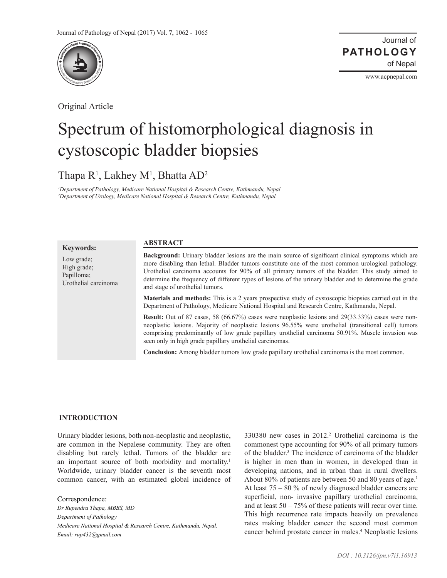

Original Article

Journal of of Nepal **PATHOLOGY**

www.acpnepal.com

# Spectrum of histomorphological diagnosis in cystoscopic bladder biopsies

Thapa R<sup>1</sup>, Lakhey M<sup>1</sup>, Bhatta AD<sup>2</sup>

*1 Department of Pathology, Medicare National Hospital & Research Centre, Kathmandu, Nepal 2 Department of Urology, Medicare National Hospital & Research Centre, Kathmandu, Nepal*

**ABSTRACT**

## **Keywords:**

Low grade; High grade; Papilloma; Urothelial carcinoma **Background:** Urinary bladder lesions are the main source of significant clinical symptoms which are more disabling than lethal. Bladder tumors constitute one of the most common urological pathology. Urothelial carcinoma accounts for 90% of all primary tumors of the bladder. This study aimed to determine the frequency of different types of lesions of the urinary bladder and to determine the grade and stage of urothelial tumors.

**Materials and methods:** This is a 2 years prospective study of cystoscopic biopsies carried out in the Department of Pathology, Medicare National Hospital and Research Centre, Kathmandu, Nepal.

**Result:** Out of 87 cases, 58 (66.67%) cases were neoplastic lesions and 29(33.33%) cases were nonneoplastic lesions. Majority of neoplastic lesions 96.55% were urothelial (transitional cell) tumors comprising predominantly of low grade papillary urothelial carcinoma 50.91%. Muscle invasion was seen only in high grade papillary urothelial carcinomas.

**Conclusion:** Among bladder tumors low grade papillary urothelial carcinoma is the most common.

# **INTRODUCTION**

Urinary bladder lesions, both non-neoplastic and neoplastic, are common in the Nepalese community. They are often disabling but rarely lethal. Tumors of the bladder are an important source of both morbidity and mortality.<sup>1</sup> Worldwide, urinary bladder cancer is the seventh most common cancer, with an estimated global incidence of

*Dr Rupendra Thapa, MBBS, MD Department of Pathology*

*Medicare National Hospital & Research Centre, Kathmandu, Nepal.* 

*Email; rup432@gmail.com*

330380 new cases in 2012.2 Urothelial carcinoma is the commonest type accounting for 90% of all primary tumors of the bladder.<sup>3</sup> The incidence of carcinoma of the bladder is higher in men than in women, in developed than in developing nations, and in urban than in rural dwellers. About 80% of patients are between 50 and 80 years of age.<sup>1</sup> At least 75 – 80 % of newly diagnosed bladder cancers are superficial, non- invasive papillary urothelial carcinoma, and at least  $50 - 75\%$  of these patients will recur over time. This high recurrence rate impacts heavily on prevalence rates making bladder cancer the second most common cancer behind prostate cancer in males.4 Neoplastic lesions

Correspondence: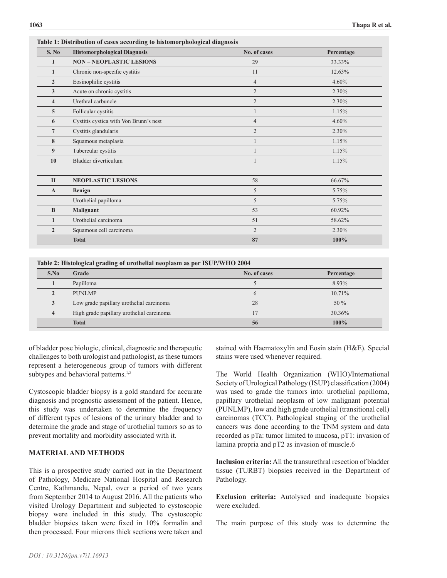| S. No          | <b>Histomorphological Diagnosis</b>    | No. of cases   | Percentage |
|----------------|----------------------------------------|----------------|------------|
| п              | <b>NON-NEOPLASTIC LESIONS</b>          | 29             | 33.33%     |
| 1              | Chronic non-specific cystitis          | 11             | 12.63%     |
| $\overline{2}$ | Eosinophilic cystitis                  | 4              | 4.60%      |
| 3              | Acute on chronic cystitis              | $\overline{2}$ | 2.30%      |
| 4              | Urethral carbuncle                     | $\overline{2}$ | 2.30%      |
| 5              | Follicular cystitis                    |                | 1.15%      |
| 6              | Cystitis cystica with Von Brunn's nest | $\overline{4}$ | 4.60%      |
| 7              | Cystitis glandularis                   | $\overline{2}$ | 2.30%      |
| 8              | Squamous metaplasia                    |                | 1.15%      |
| 9              | Tubercular cystitis                    |                | 1.15%      |
| 10             | Bladder diverticulum                   |                | 1.15%      |
| $\mathbf{I}$   | <b>NEOPLASTIC LESIONS</b>              | 58             | 66.67%     |
| A              | Benign                                 | 5              | 5.75%      |
|                | Urothelial papilloma                   | 5              | 5.75%      |
| B              | <b>Malignant</b>                       | 53             | 60.92%     |
| 1              | Urothelial carcinoma                   | 51             | 58.62%     |
| $\overline{2}$ | Squamous cell carcinoma                | $\overline{2}$ | 2.30%      |
|                | <b>Total</b>                           | 87             | 100%       |

**Table 1: Distribution of cases according to histomorphological diagnosis**

**Table 2: Histological grading of urothelial neoplasm as per ISUP/WHO 2004**

| S.No | Grade                                     | No. of cases | Percentage |
|------|-------------------------------------------|--------------|------------|
|      | Papilloma                                 |              | 8.93%      |
|      | <b>PUNLMP</b>                             |              | 10.71%     |
|      | Low grade papillary urothelial carcinoma  | 28           | 50 $%$     |
|      | High grade papillary urothelial carcinoma |              | 30.36%     |
|      | <b>Total</b>                              | 56           | 100%       |

of bladder pose biologic, clinical, diagnostic and therapeutic challenges to both urologist and pathologist, as these tumors represent a heterogeneous group of tumors with different subtypes and behavioral patterns.<sup>1,5</sup>

Cystoscopic bladder biopsy is a gold standard for accurate diagnosis and prognostic assessment of the patient. Hence, this study was undertaken to determine the frequency of different types of lesions of the urinary bladder and to determine the grade and stage of urothelial tumors so as to prevent mortality and morbidity associated with it.

## **MATERIAL AND METHODS**

This is a prospective study carried out in the Department of Pathology, Medicare National Hospital and Research Centre, Kathmandu, Nepal, over a period of two years from September 2014 to August 2016. All the patients who visited Urology Department and subjected to cystoscopic biopsy were included in this study. The cystoscopic bladder biopsies taken were fixed in 10% formalin and then processed. Four microns thick sections were taken and

stained with Haematoxylin and Eosin stain (H&E). Special stains were used whenever required.

The World Health Organization (WHO)/International Society of Urological Pathology (ISUP) classification (2004) was used to grade the tumors into: urothelial papilloma, papillary urothelial neoplasm of low malignant potential (PUNLMP), low and high grade urothelial (transitional cell) carcinomas (TCC). Pathological staging of the urothelial cancers was done according to the TNM system and data recorded as pTa: tumor limited to mucosa, pT1: invasion of lamina propria and pT2 as invasion of muscle.6

**Inclusion criteria:** All the transurethral resection of bladder tissue (TURBT) biopsies received in the Department of Pathology.

**Exclusion criteria:** Autolysed and inadequate biopsies were excluded.

The main purpose of this study was to determine the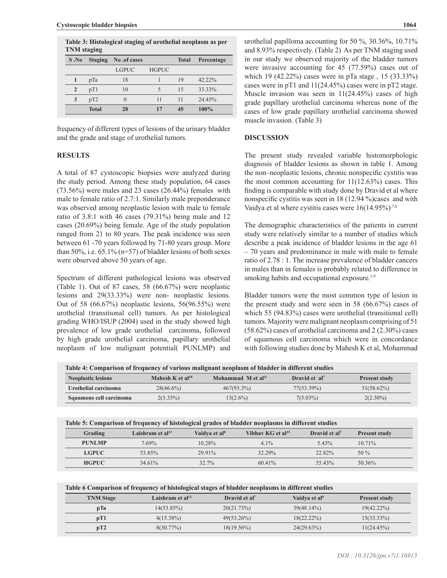**Table 3: Histological staging of urothelial neoplasm as per TNM staging**

|              | . .            |                  |              |              |            |
|--------------|----------------|------------------|--------------|--------------|------------|
| S.No         | <b>Staging</b> | No .of cases     |              | <b>Total</b> | Percentage |
|              |                | <b>LGPUC</b>     | <b>HGPUC</b> |              |            |
|              | pTa            | 18               |              | 19           | $42.22\%$  |
| $\mathbf{2}$ | pT1            | 10               |              | 15           | 33.33%     |
| 3            | pT2            | $\left( \right)$ | 11           | 11           | 24.45%     |
|              | <b>Total</b>   | 28               |              | 45           | 100%       |

frequency of different types of lesions of the urinary bladder and the grade and stage of urothelial tumors.

#### **RESULTS**

A total of 87 cystoscopic biopsies were analyzed during the study period. Among these study population, 64 cases (73.56%) were males and 23 cases (26.44%) females with male to female ratio of 2.7:1. Similarly male preponderance was observed among neoplastic lesion with male to female ratio of 3.8:1 with 46 cases (79.31%) being male and 12 cases (20.69%) being female. Age of the study population ranged from 21 to 80 years. The peak incidence was seen between 61 -70 years followed by 71-80 years group. More than 50%, i.e.  $65.1\%$  (n=57) of bladder lesions of both sexes were observed above 50 years of age.

Spectrum of different pathological lesions was observed (Table 1). Out of 87 cases, 58 (66.67%) were neoplastic lesions and 29(33.33%) were non- neoplastic lesions. Out of 58 (66.67%) neoplastic lesions, 56(96.55%) were urothelial (transitional cell) tumors. As per histological grading WHO/ISUP (2004) used in the study showed high prevalence of low grade urothelial carcinoma, followed by high grade urothelial carcinoma, papillary urothelial neoplasm of low malignant potential( PUNLMP) and urothelial papilloma accounting for 50 %, 30.36%, 10.71% and 8.93% respectively. (Table 2) As per TNM staging used in our study we observed majority of the bladder tumors were invasive accounting for 45 (77.59%) cases out of which 19 (42.22%) cases were in pTa stage , 15 (33.33%) cases were in pT1 and 11(24.45%) cases were in pT2 stage. Muscle invasion was seen in 11(24.45%) cases of high grade papillary urothelial carcinoma whereas none of the cases of low grade papillary urothelial carcinoma showed muscle invasion. (Table 3)

#### **DISCUSSION**

The present study revealed variable histomorphologic diagnosis of bladder lesions as shown in table 1. Among the non–neoplastic lesions, chronic nonspecific cystitis was the most common accounting for  $11(12.63%)$  cases. This finding is comparable with study done by Dravid et al where nonspecific cystitis was seen in 18 (12.94 %)cases and with Vaidya et al where cystitis cases were  $16(14.95\%)^{7,8}$ 

The demographic characteristics of the patients in current study were relatively similar to a number of studies which describe a peak incidence of bladder lesions in the age 61 – 70 years and predominance in male with male to female ratio of 2.78 : 1. The increase prevalence of bladder cancers in males than in females is probably related to difference in smoking habits and occupational exposure.<sup>1,9</sup>

Bladder tumors were the most common type of lesion in the present study and were seen in 58 (66.67%) cases of which 55 (94.83%) cases were urothelial (transitional cell) tumors. Majority were malignant neoplasm comprising of 51 (58.62%) cases of urothelial carcinoma and 2 (2.30%) cases of squamous cell carcinoma which were in concordance with following studies done by Mahesh K et al, Mohammad

**Table 4: Comparison of frequency of various malignant neoplasm of bladder in different studies**

| <b>Neoplastic lesions</b> | Mahesh K et al <sup>10</sup> | Mohammad M et al <sup>11</sup> | Dravid et al <sup>7</sup> | <b>Present study</b> |
|---------------------------|------------------------------|--------------------------------|---------------------------|----------------------|
| Urothelial carcinoma      | $28(46.6\%)$                 | $467(93.3\%)$                  | 77(53.39%)                | $51(58.62\%)$        |
| Squamous cell carcinoma   | $2(3.33\%)$                  | $13(2.6\%)$                    | $7(5.03\%)$               | $2(2.30\%)$          |

| Table 5: Comparison of frequency of histological grades of bladder neoplasms in different studies |                    |                           |                               |                           |                      |
|---------------------------------------------------------------------------------------------------|--------------------|---------------------------|-------------------------------|---------------------------|----------------------|
| Grading                                                                                           | Laishram et $al12$ | Vaidva et al <sup>8</sup> | Vibhav KG et al <sup>13</sup> | Dravid et al <sup>7</sup> | <b>Present study</b> |
| <b>PUNLMP</b>                                                                                     | $7.69\%$           | $10.28\%$                 | $4.1\%$                       | $5.43\%$                  | $10.71\%$            |
| <b>LGPUC</b>                                                                                      | 53.85%             | 29.91%                    | 32.29%                        | 22.82%                    | $50\%$               |
| <b>HGPUC</b>                                                                                      | 34.61%             | 32.7%                     | 6041%                         | 5543%                     | 30.36%               |

| <b>TNM</b> Stage | Laishram et al $^{12}$ | Dravid et al <sup>7</sup> | Vaidya et al <sup>8</sup> | <b>Present study</b> |
|------------------|------------------------|---------------------------|---------------------------|----------------------|
| pTa              | $14(53.85\%)$          | 20(21.73%)                | 39(48.14%)                | $19(42.22\%)$        |
| pT1              | $4(15.38\%)$           | $49(53.26\%)$             | $18(22.22\%)$             | $15(33.33\%)$        |
| pT2              | $8(30.77\%)$           | $18(19.56\%)$             | 24(29.63%)                | 11(24.45%)           |